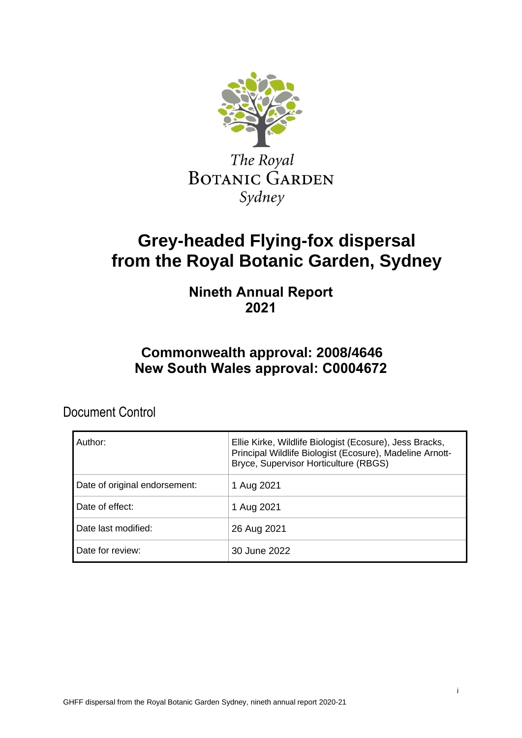

# **Grey-headed Flying-fox dispersal from the Royal Botanic Garden, Sydney**

**Nineth Annual Report 2021**

# **Commonwealth approval: 2008/4646 New South Wales approval: C0004672**

Document Control

| Author:                       | Ellie Kirke, Wildlife Biologist (Ecosure), Jess Bracks,<br>Principal Wildlife Biologist (Ecosure), Madeline Arnott-<br>Bryce, Supervisor Horticulture (RBGS) |  |  |
|-------------------------------|--------------------------------------------------------------------------------------------------------------------------------------------------------------|--|--|
| Date of original endorsement: | 1 Aug 2021                                                                                                                                                   |  |  |
| Date of effect:               | 1 Aug 2021                                                                                                                                                   |  |  |
| Date last modified:           | 26 Aug 2021                                                                                                                                                  |  |  |
| Date for review:              | 30 June 2022                                                                                                                                                 |  |  |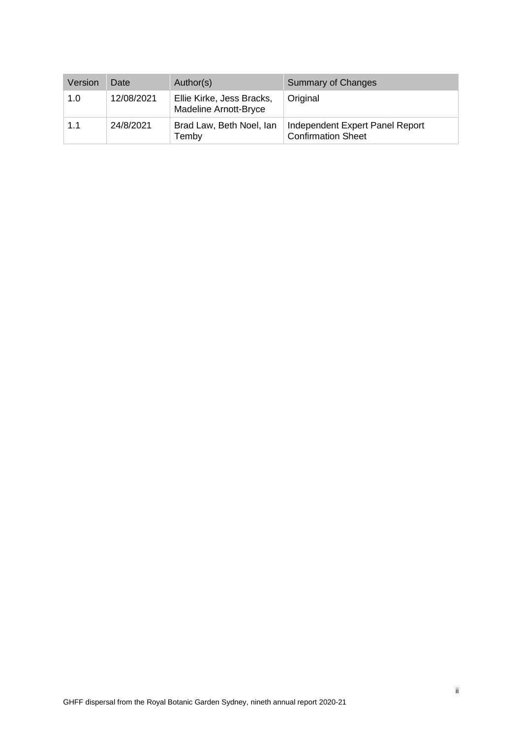| Version | Date       | Author(s)                                                 | Summary of Changes                                           |
|---------|------------|-----------------------------------------------------------|--------------------------------------------------------------|
| 1.0     | 12/08/2021 | Ellie Kirke, Jess Bracks,<br><b>Madeline Arnott-Bryce</b> | Original                                                     |
| 1.1     | 24/8/2021  | Brad Law, Beth Noel, lan<br>Temby                         | Independent Expert Panel Report<br><b>Confirmation Sheet</b> |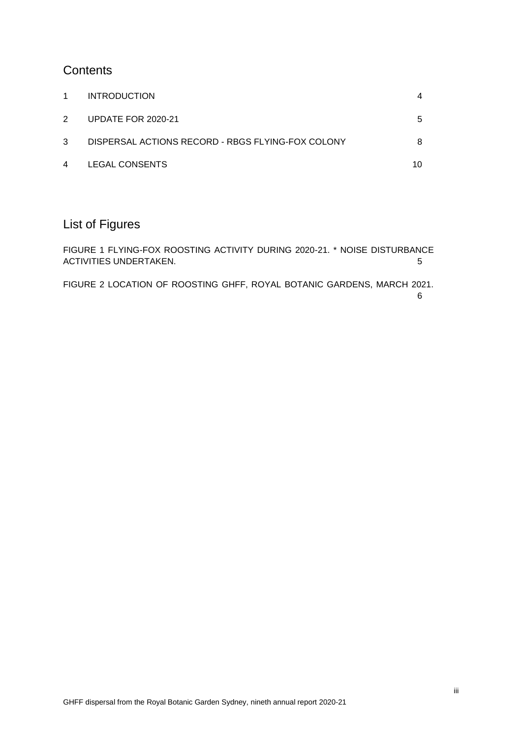# **Contents**

|   | <b>INTRODUCTION</b>                               | 4 |
|---|---------------------------------------------------|---|
| 2 | UPDATE FOR 2020-21                                | 5 |
|   | DISPERSAL ACTIONS RECORD - RBGS FLYING-FOX COLONY | 8 |
| 4 | <b>LEGAL CONSENTS</b>                             |   |

# List of Figures

[FIGURE 1 FLYING-FOX ROOSTING ACTIVITY DURING 2020-21. \\* NOISE DISTURBANCE](#page-4-1)  [ACTIVITIES UNDERTAKEN.](#page-4-1) 5

[FIGURE 2 LOCATION OF ROOSTING GHFF, ROYAL BOTANIC GARDENS, MARCH 2021.](#page-5-0)

[6](#page-5-0)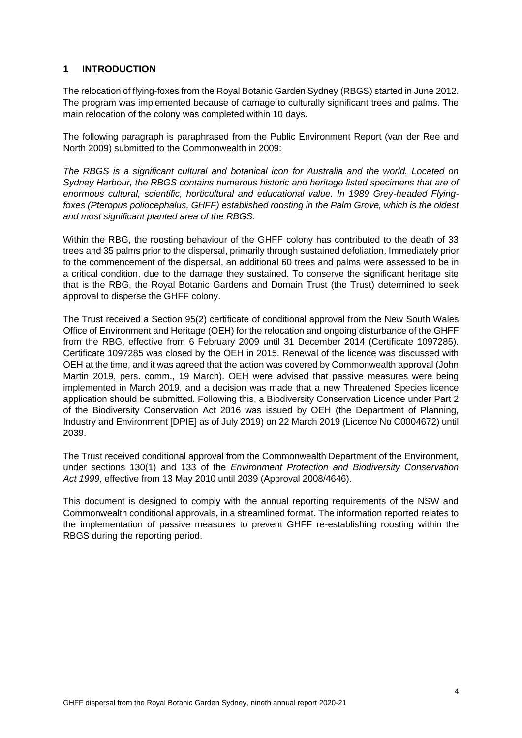# <span id="page-3-0"></span>**1 INTRODUCTION**

The relocation of flying-foxes from the Royal Botanic Garden Sydney (RBGS) started in June 2012. The program was implemented because of damage to culturally significant trees and palms. The main relocation of the colony was completed within 10 days.

The following paragraph is paraphrased from the Public Environment Report (van der Ree and North 2009) submitted to the Commonwealth in 2009:

*The RBGS is a significant cultural and botanical icon for Australia and the world. Located on Sydney Harbour, the RBGS contains numerous historic and heritage listed specimens that are of enormous cultural, scientific, horticultural and educational value. In 1989 Grey-headed Flyingfoxes (Pteropus poliocephalus, GHFF) established roosting in the Palm Grove, which is the oldest and most significant planted area of the RBGS.*

Within the RBG, the roosting behaviour of the GHFF colony has contributed to the death of 33 trees and 35 palms prior to the dispersal, primarily through sustained defoliation. Immediately prior to the commencement of the dispersal, an additional 60 trees and palms were assessed to be in a critical condition, due to the damage they sustained. To conserve the significant heritage site that is the RBG, the Royal Botanic Gardens and Domain Trust (the Trust) determined to seek approval to disperse the GHFF colony.

The Trust received a Section 95(2) certificate of conditional approval from the New South Wales Office of Environment and Heritage (OEH) for the relocation and ongoing disturbance of the GHFF from the RBG, effective from 6 February 2009 until 31 December 2014 (Certificate 1097285). Certificate 1097285 was closed by the OEH in 2015. Renewal of the licence was discussed with OEH at the time, and it was agreed that the action was covered by Commonwealth approval (John Martin 2019, pers. comm., 19 March). OEH were advised that passive measures were being implemented in March 2019, and a decision was made that a new Threatened Species licence application should be submitted. Following this, a Biodiversity Conservation Licence under Part 2 of the Biodiversity Conservation Act 2016 was issued by OEH (the Department of Planning, Industry and Environment [DPIE] as of July 2019) on 22 March 2019 (Licence No C0004672) until 2039.

The Trust received conditional approval from the Commonwealth Department of the Environment, under sections 130(1) and 133 of the *Environment Protection and Biodiversity Conservation Act 1999*, effective from 13 May 2010 until 2039 (Approval 2008/4646).

This document is designed to comply with the annual reporting requirements of the NSW and Commonwealth conditional approvals, in a streamlined format. The information reported relates to the implementation of passive measures to prevent GHFF re-establishing roosting within the RBGS during the reporting period.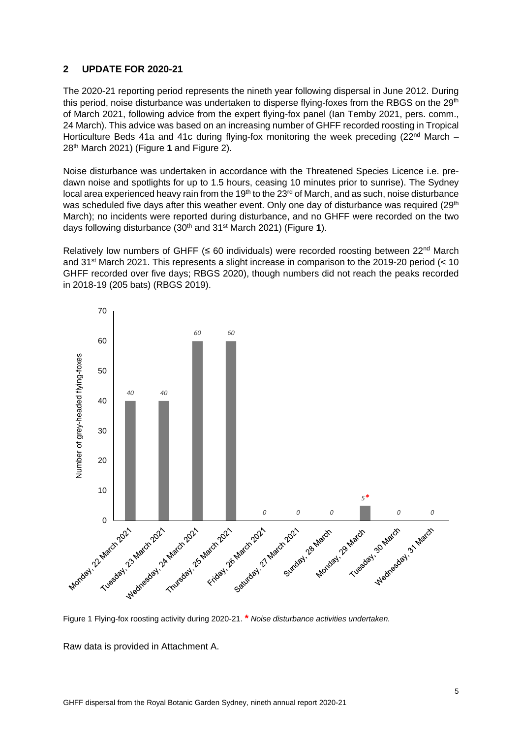# <span id="page-4-0"></span>**2 UPDATE FOR 2020-21**

The 2020-21 reporting period represents the nineth year following dispersal in June 2012. During this period, noise disturbance was undertaken to disperse flying-foxes from the RBGS on the 29<sup>th</sup> of March 2021, following advice from the expert flying-fox panel (Ian Temby 2021, pers. comm., 24 March). This advice was based on an increasing number of GHFF recorded roosting in Tropical Horticulture Beds 41a and 41c during flying-fox monitoring the week preceding ( $22<sup>nd</sup> March -$ 28th March 2021) [\(Figure](#page-4-2) **1** and [Figure 2\)](#page-5-1).

Noise disturbance was undertaken in accordance with the Threatened Species Licence i.e. predawn noise and spotlights for up to 1.5 hours, ceasing 10 minutes prior to sunrise). The Sydney local area experienced heavy rain from the 19<sup>th</sup> to the 23<sup>rd</sup> of March, and as such, noise disturbance was scheduled five days after this weather event. Only one day of disturbance was required (29<sup>th</sup>) March); no incidents were reported during disturbance, and no GHFF were recorded on the two days following disturbance (30th and 31st March 2021) [\(Figure](#page-4-2) **1**).

Relatively low numbers of GHFF ( $\leq 60$  individuals) were recorded roosting between 22<sup>nd</sup> March and 31st March 2021. This represents a slight increase in comparison to the 2019-20 period (< 10 GHFF recorded over five days; RBGS 2020), though numbers did not reach the peaks recorded in 2018-19 (205 bats) (RBGS 2019).



<span id="page-4-2"></span><span id="page-4-1"></span>Figure 1 Flying-fox roosting activity during 2020-21. **\*** *Noise disturbance activities undertaken.*

Raw data is provided in Attachment A.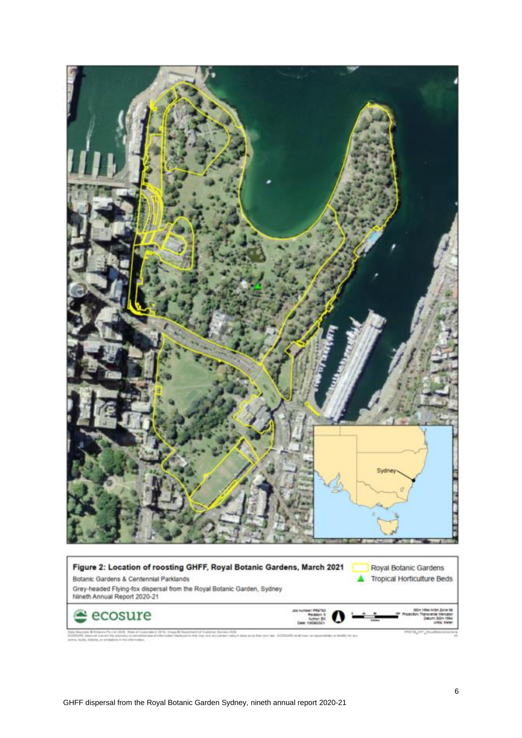<span id="page-5-1"></span><span id="page-5-0"></span>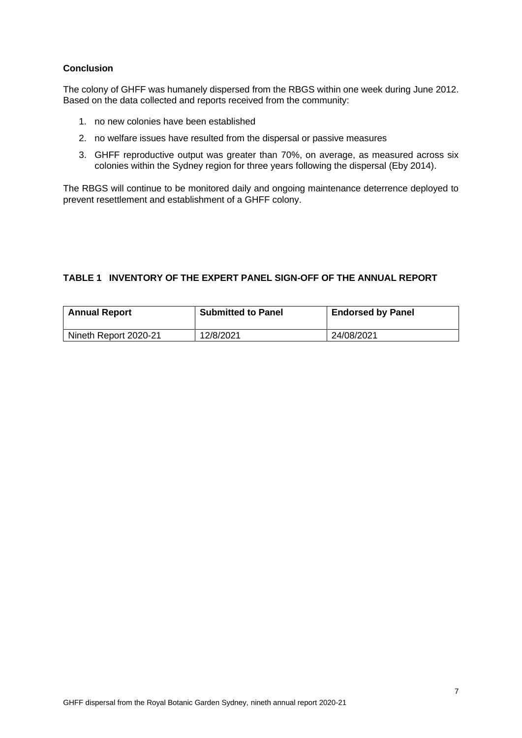# **Conclusion**

The colony of GHFF was humanely dispersed from the RBGS within one week during June 2012. Based on the data collected and reports received from the community:

- 1. no new colonies have been established
- 2. no welfare issues have resulted from the dispersal or passive measures
- 3. GHFF reproductive output was greater than 70%, on average, as measured across six colonies within the Sydney region for three years following the dispersal (Eby 2014).

The RBGS will continue to be monitored daily and ongoing maintenance deterrence deployed to prevent resettlement and establishment of a GHFF colony.

## **TABLE 1 INVENTORY OF THE EXPERT PANEL SIGN-OFF OF THE ANNUAL REPORT**

| <b>Annual Report</b>  | <b>Submitted to Panel</b> | <b>Endorsed by Panel</b> |
|-----------------------|---------------------------|--------------------------|
| Nineth Report 2020-21 | 12/8/2021                 | 24/08/2021               |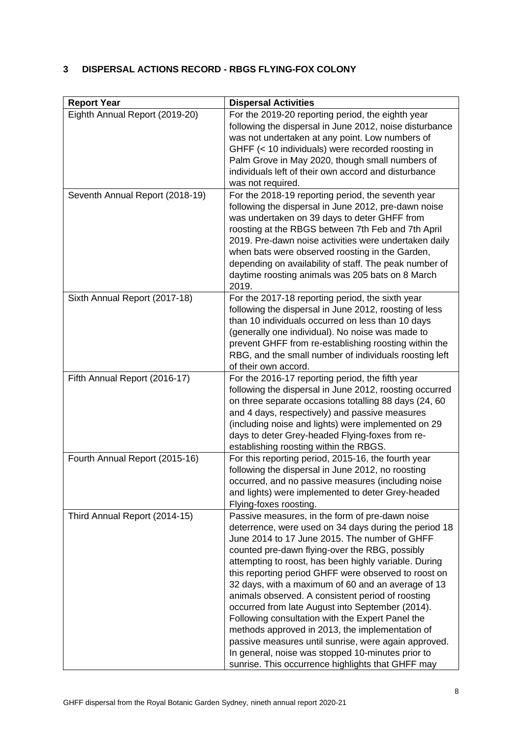# <span id="page-7-0"></span>**3 DISPERSAL ACTIONS RECORD - RBGS FLYING-FOX COLONY**

| <b>Report Year</b>              | <b>Dispersal Activities</b>                             |
|---------------------------------|---------------------------------------------------------|
| Eighth Annual Report (2019-20)  | For the 2019-20 reporting period, the eighth year       |
|                                 | following the dispersal in June 2012, noise disturbance |
|                                 | was not undertaken at any point. Low numbers of         |
|                                 | GHFF (< 10 individuals) were recorded roosting in       |
|                                 | Palm Grove in May 2020, though small numbers of         |
|                                 | individuals left of their own accord and disturbance    |
|                                 | was not required.                                       |
| Seventh Annual Report (2018-19) | For the 2018-19 reporting period, the seventh year      |
|                                 | following the dispersal in June 2012, pre-dawn noise    |
|                                 | was undertaken on 39 days to deter GHFF from            |
|                                 | roosting at the RBGS between 7th Feb and 7th April      |
|                                 | 2019. Pre-dawn noise activities were undertaken daily   |
|                                 | when bats were observed roosting in the Garden,         |
|                                 | depending on availability of staff. The peak number of  |
|                                 | daytime roosting animals was 205 bats on 8 March        |
|                                 | 2019.                                                   |
| Sixth Annual Report (2017-18)   | For the 2017-18 reporting period, the sixth year        |
|                                 | following the dispersal in June 2012, roosting of less  |
|                                 | than 10 individuals occurred on less than 10 days       |
|                                 | (generally one individual). No noise was made to        |
|                                 | prevent GHFF from re-establishing roosting within the   |
|                                 | RBG, and the small number of individuals roosting left  |
|                                 | of their own accord.                                    |
| Fifth Annual Report (2016-17)   | For the 2016-17 reporting period, the fifth year        |
|                                 | following the dispersal in June 2012, roosting occurred |
|                                 | on three separate occasions totalling 88 days (24, 60   |
|                                 | and 4 days, respectively) and passive measures          |
|                                 | (including noise and lights) were implemented on 29     |
|                                 | days to deter Grey-headed Flying-foxes from re-         |
|                                 | establishing roosting within the RBGS.                  |
| Fourth Annual Report (2015-16)  | For this reporting period, 2015-16, the fourth year     |
|                                 | following the dispersal in June 2012, no roosting       |
|                                 | occurred, and no passive measures (including noise      |
|                                 | and lights) were implemented to deter Grey-headed       |
|                                 | Flying-foxes roosting.                                  |
| Third Annual Report (2014-15)   | Passive measures, in the form of pre-dawn noise         |
|                                 | deterrence, were used on 34 days during the period 18   |
|                                 | June 2014 to 17 June 2015. The number of GHFF           |
|                                 | counted pre-dawn flying-over the RBG, possibly          |
|                                 | attempting to roost, has been highly variable. During   |
|                                 | this reporting period GHFF were observed to roost on    |
|                                 | 32 days, with a maximum of 60 and an average of 13      |
|                                 | animals observed. A consistent period of roosting       |
|                                 | occurred from late August into September (2014).        |
|                                 | Following consultation with the Expert Panel the        |
|                                 | methods approved in 2013, the implementation of         |
|                                 | passive measures until sunrise, were again approved.    |
|                                 | In general, noise was stopped 10-minutes prior to       |
|                                 | sunrise. This occurrence highlights that GHFF may       |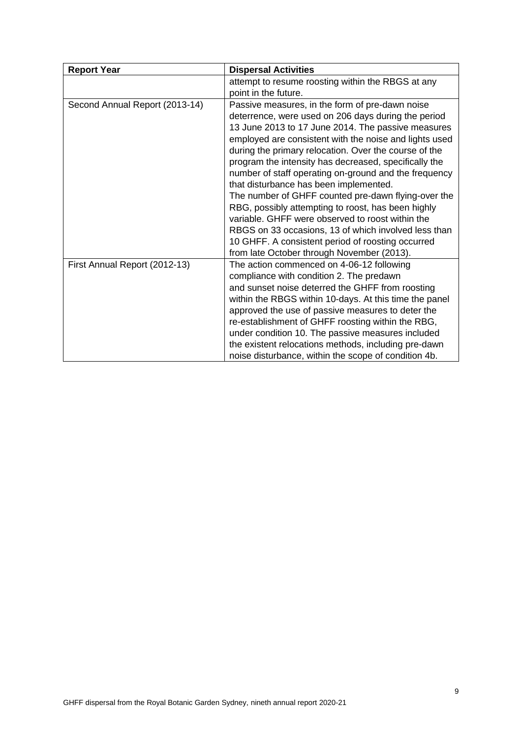| <b>Report Year</b>             | <b>Dispersal Activities</b>                                                                                                                                                                                                                                                                                                                                                                                                                                                                                                                                                                                                                                                                                                                                             |  |
|--------------------------------|-------------------------------------------------------------------------------------------------------------------------------------------------------------------------------------------------------------------------------------------------------------------------------------------------------------------------------------------------------------------------------------------------------------------------------------------------------------------------------------------------------------------------------------------------------------------------------------------------------------------------------------------------------------------------------------------------------------------------------------------------------------------------|--|
|                                | attempt to resume roosting within the RBGS at any<br>point in the future.                                                                                                                                                                                                                                                                                                                                                                                                                                                                                                                                                                                                                                                                                               |  |
| Second Annual Report (2013-14) | Passive measures, in the form of pre-dawn noise<br>deterrence, were used on 206 days during the period<br>13 June 2013 to 17 June 2014. The passive measures<br>employed are consistent with the noise and lights used<br>during the primary relocation. Over the course of the<br>program the intensity has decreased, specifically the<br>number of staff operating on-ground and the frequency<br>that disturbance has been implemented.<br>The number of GHFF counted pre-dawn flying-over the<br>RBG, possibly attempting to roost, has been highly<br>variable. GHFF were observed to roost within the<br>RBGS on 33 occasions, 13 of which involved less than<br>10 GHFF. A consistent period of roosting occurred<br>from late October through November (2013). |  |
| First Annual Report (2012-13)  | The action commenced on 4-06-12 following<br>compliance with condition 2. The predawn<br>and sunset noise deterred the GHFF from roosting<br>within the RBGS within 10-days. At this time the panel<br>approved the use of passive measures to deter the<br>re-establishment of GHFF roosting within the RBG,<br>under condition 10. The passive measures included<br>the existent relocations methods, including pre-dawn<br>noise disturbance, within the scope of condition 4b.                                                                                                                                                                                                                                                                                      |  |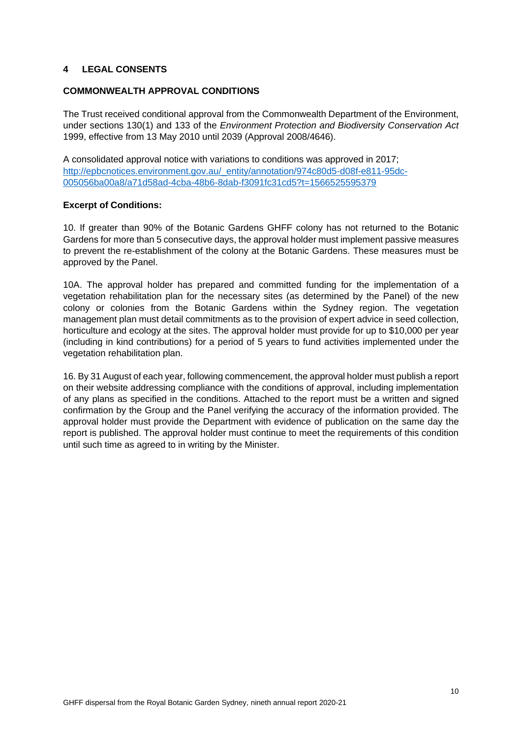### <span id="page-9-0"></span>**4 LEGAL CONSENTS**

## **COMMONWEALTH APPROVAL CONDITIONS**

The Trust received conditional approval from the Commonwealth Department of the Environment, under sections 130(1) and 133 of the *Environment Protection and Biodiversity Conservation Act*  1999, effective from 13 May 2010 until 2039 (Approval 2008/4646).

A consolidated approval notice with variations to conditions was approved in 2017; [http://epbcnotices.environment.gov.au/\\_entity/annotation/974c80d5-d08f-e811-95dc-](http://epbcnotices.environment.gov.au/_entity/annotation/974c80d5-d08f-e811-95dc-005056ba00a8/a71d58ad-4cba-48b6-8dab-f3091fc31cd5?t=1566525595379)[005056ba00a8/a71d58ad-4cba-48b6-8dab-f3091fc31cd5?t=1566525595379](http://epbcnotices.environment.gov.au/_entity/annotation/974c80d5-d08f-e811-95dc-005056ba00a8/a71d58ad-4cba-48b6-8dab-f3091fc31cd5?t=1566525595379)

#### **Excerpt of Conditions:**

10. If greater than 90% of the Botanic Gardens GHFF colony has not returned to the Botanic Gardens for more than 5 consecutive days, the approval holder must implement passive measures to prevent the re-establishment of the colony at the Botanic Gardens. These measures must be approved by the Panel.

10A. The approval holder has prepared and committed funding for the implementation of a vegetation rehabilitation plan for the necessary sites (as determined by the Panel) of the new colony or colonies from the Botanic Gardens within the Sydney region. The vegetation management plan must detail commitments as to the provision of expert advice in seed collection, horticulture and ecology at the sites. The approval holder must provide for up to \$10,000 per year (including in kind contributions) for a period of 5 years to fund activities implemented under the vegetation rehabilitation plan.

16. By 31 August of each year, following commencement, the approval holder must publish a report on their website addressing compliance with the conditions of approval, including implementation of any plans as specified in the conditions. Attached to the report must be a written and signed confirmation by the Group and the Panel verifying the accuracy of the information provided. The approval holder must provide the Department with evidence of publication on the same day the report is published. The approval holder must continue to meet the requirements of this condition until such time as agreed to in writing by the Minister.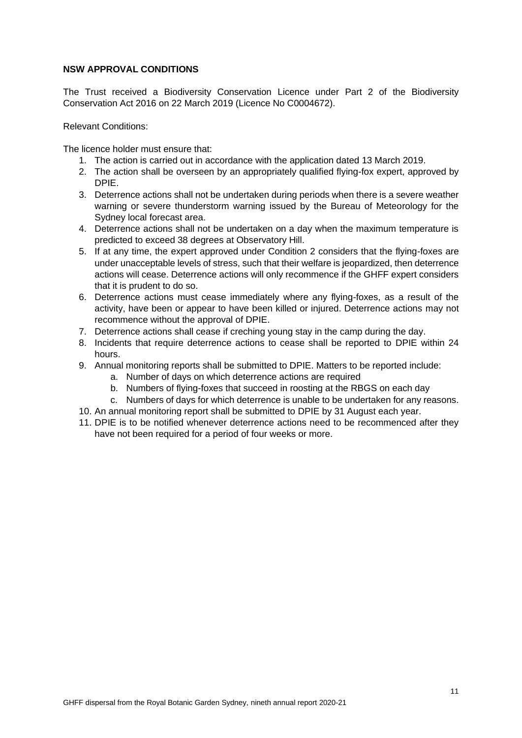#### **NSW APPROVAL CONDITIONS**

The Trust received a Biodiversity Conservation Licence under Part 2 of the Biodiversity Conservation Act 2016 on 22 March 2019 (Licence No C0004672).

Relevant Conditions:

The licence holder must ensure that:

- 1. The action is carried out in accordance with the application dated 13 March 2019.
- 2. The action shall be overseen by an appropriately qualified flying-fox expert, approved by DPIE.
- 3. Deterrence actions shall not be undertaken during periods when there is a severe weather warning or severe thunderstorm warning issued by the Bureau of Meteorology for the Sydney local forecast area.
- 4. Deterrence actions shall not be undertaken on a day when the maximum temperature is predicted to exceed 38 degrees at Observatory Hill.
- 5. If at any time, the expert approved under Condition 2 considers that the flying-foxes are under unacceptable levels of stress, such that their welfare is jeopardized, then deterrence actions will cease. Deterrence actions will only recommence if the GHFF expert considers that it is prudent to do so.
- 6. Deterrence actions must cease immediately where any flying-foxes, as a result of the activity, have been or appear to have been killed or injured. Deterrence actions may not recommence without the approval of DPIE.
- 7. Deterrence actions shall cease if creching young stay in the camp during the day.
- 8. Incidents that require deterrence actions to cease shall be reported to DPIE within 24 hours.
- 9. Annual monitoring reports shall be submitted to DPIE. Matters to be reported include:
	- a. Number of days on which deterrence actions are required
	- b. Numbers of flying-foxes that succeed in roosting at the RBGS on each day
	- c. Numbers of days for which deterrence is unable to be undertaken for any reasons.
- 10. An annual monitoring report shall be submitted to DPIE by 31 August each year.
- 11. DPIE is to be notified whenever deterrence actions need to be recommenced after they have not been required for a period of four weeks or more.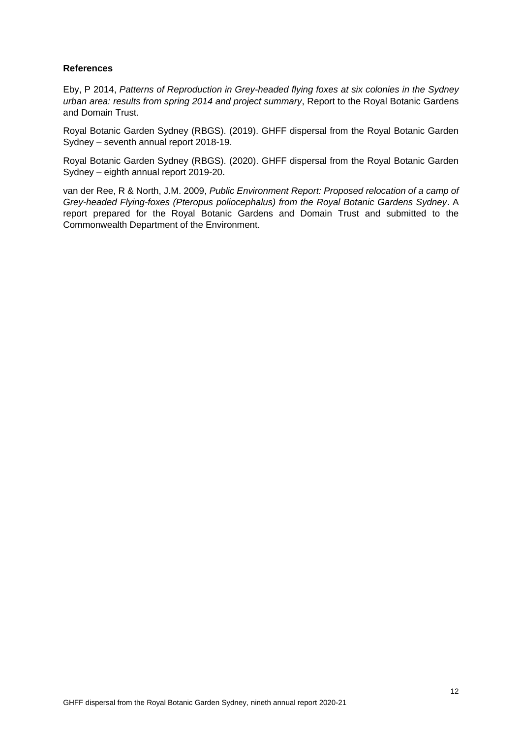#### **References**

Eby, P 2014, *Patterns of Reproduction in Grey-headed flying foxes at six colonies in the Sydney urban area: results from spring 2014 and project summary*, Report to the Royal Botanic Gardens and Domain Trust.

Royal Botanic Garden Sydney (RBGS). (2019). GHFF dispersal from the Royal Botanic Garden Sydney – seventh annual report 2018-19.

Royal Botanic Garden Sydney (RBGS). (2020). GHFF dispersal from the Royal Botanic Garden Sydney – eighth annual report 2019-20.

van der Ree, R & North, J.M. 2009, *Public Environment Report: Proposed relocation of a camp of Grey-headed Flying-foxes (Pteropus poliocephalus) from the Royal Botanic Gardens Sydney*. A report prepared for the Royal Botanic Gardens and Domain Trust and submitted to the Commonwealth Department of the Environment.